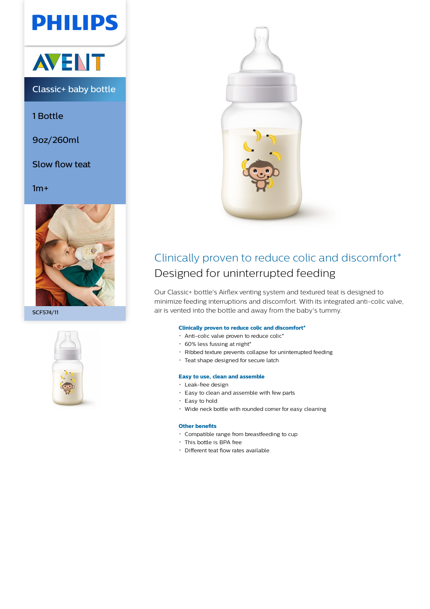# **PHILIPS**



Classic+ baby bottle

1 Bottle

9oz/260ml

Slow flow teat

 $1m+$ 



SCF574/11





### Clinically proven to reduce colic and discomfort\* Designed for uninterrupted feeding

Our Classic+ bottle's Airflex venting system and textured teat is designed to minimize feeding interruptions and discomfort. With its integrated anti-colic valve, air is vented into the bottle and away from the baby's tummy.

#### **Clinically proven to reduce colic and discomfort\***

- Anti-colic valve proven to reduce colic\*
- $\cdot$  60% less fussing at night\*
- Ribbed texture prevents collapse for uninterrupted feeding
- Teat shape designed for secure latch

#### **Easy to use, clean and assemble**

- Leak-free design
- Easy to clean and assemble with few parts
- Easy to hold
- Wide neck bottle with rounded corner for easy cleaning

#### **Other benefits**

- Compatible range from breastfeeding to cup
- This bottle is BPA free
- Different teat flow rates available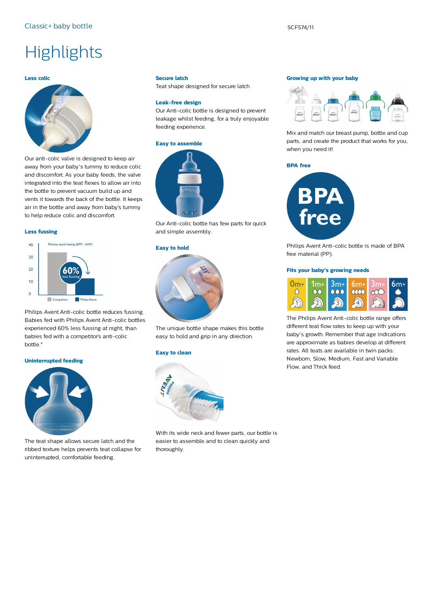## **Highlights**

#### **Less colic**



Our anti-colic valve is designed to keep air away from your baby's tummy to reduce colic and discomfort. As your baby feeds, the valve integrated into the teat flexes to allow air into the bottle to prevent vacuum build up and vents it towards the back of the bottle. It keeps air in the bottle and away from baby's tummy to help reduce colic and discomfort.

#### **Less fussing**



Philips Avent Anti-colic bottle reduces fussing. Babies fed with Philips Avent Anti-colic bottles experienced 60% less fussing at night, than babies fed with a competitor's anti-colic bottle.\*

#### **Uninterrupted feeding**



The teat shape allows secure latch and the ribbed texture helps prevents teat collapse for uninterrupted, comfortable feeding.

#### **Secure latch**

Teat shape designed for secure latch

#### **Leak-free design**

Our Anti-colic bottle is designed to prevent leakage whilst feeding, for a truly enjoyable feeding experience.

#### **Easy to assemble**



Our Anti-colic bottle has few parts for quick and simple assembly.

#### **Easy to hold**



The unique bottle shape makes this bottle easy to hold and grip in any direction.

#### **Easy to clean**



With its wide neck and fewer parts, our bottle is easier to assemble and to clean quickly and thoroughly.

#### **Growing up with your baby**



Mix and match our breast pump, bottle and cup parts, and create the product that works for you, when you need it!

#### **BPA free**



Philips Avent Anti-colic bottle is made of BPA free material (PP).

#### **Fits your baby's growing needs**



The Philips Avent Anti-colic bottle range offers different teat flow rates to keep up with your baby's growth. Remember that age indications are approximate as babies develop at different rates. All teats are available in twin packs: Newborn, Slow, Medium, Fast and Variable Flow, and Thick feed.